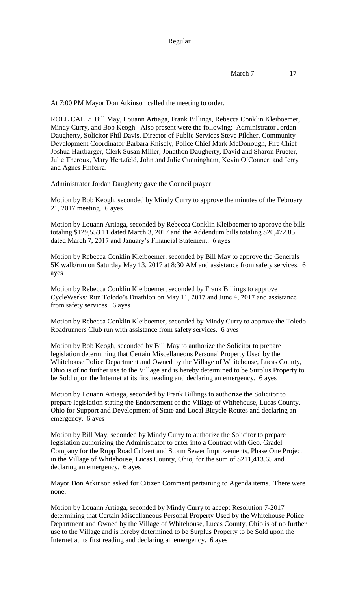At 7:00 PM Mayor Don Atkinson called the meeting to order.

ROLL CALL: Bill May, Louann Artiaga, Frank Billings, Rebecca Conklin Kleiboemer, Mindy Curry, and Bob Keogh. Also present were the following: Administrator Jordan Daugherty, Solicitor Phil Davis, Director of Public Services Steve Pilcher, Community Development Coordinator Barbara Knisely, Police Chief Mark McDonough, Fire Chief Joshua Hartbarger, Clerk Susan Miller, Jonathon Daugherty, David and Sharon Prueter, Julie Theroux, Mary Hertzfeld, John and Julie Cunningham, Kevin O'Conner, and Jerry and Agnes Finferra.

Administrator Jordan Daugherty gave the Council prayer.

Motion by Bob Keogh, seconded by Mindy Curry to approve the minutes of the February 21, 2017 meeting. 6 ayes

Motion by Louann Artiaga, seconded by Rebecca Conklin Kleiboemer to approve the bills totaling \$129,553.11 dated March 3, 2017 and the Addendum bills totaling \$20,472.85 dated March 7, 2017 and January's Financial Statement. 6 ayes

Motion by Rebecca Conklin Kleiboemer, seconded by Bill May to approve the Generals 5K walk/run on Saturday May 13, 2017 at 8:30 AM and assistance from safety services. 6 ayes

Motion by Rebecca Conklin Kleiboemer, seconded by Frank Billings to approve CycleWerks/ Run Toledo's Duathlon on May 11, 2017 and June 4, 2017 and assistance from safety services. 6 ayes

Motion by Rebecca Conklin Kleiboemer, seconded by Mindy Curry to approve the Toledo Roadrunners Club run with assistance from safety services. 6 ayes

Motion by Bob Keogh, seconded by Bill May to authorize the Solicitor to prepare legislation determining that Certain Miscellaneous Personal Property Used by the Whitehouse Police Department and Owned by the Village of Whitehouse, Lucas County, Ohio is of no further use to the Village and is hereby determined to be Surplus Property to be Sold upon the Internet at its first reading and declaring an emergency. 6 ayes

Motion by Louann Artiaga, seconded by Frank Billings to authorize the Solicitor to prepare legislation stating the Endorsement of the Village of Whitehouse, Lucas County, Ohio for Support and Development of State and Local Bicycle Routes and declaring an emergency. 6 ayes

Motion by Bill May, seconded by Mindy Curry to authorize the Solicitor to prepare legislation authorizing the Administrator to enter into a Contract with Geo. Gradel Company for the Rupp Road Culvert and Storm Sewer Improvements, Phase One Project in the Village of Whitehouse, Lucas County, Ohio, for the sum of \$211,413.65 and declaring an emergency. 6 ayes

Mayor Don Atkinson asked for Citizen Comment pertaining to Agenda items. There were none.

Motion by Louann Artiaga, seconded by Mindy Curry to accept Resolution 7-2017 determining that Certain Miscellaneous Personal Property Used by the Whitehouse Police Department and Owned by the Village of Whitehouse, Lucas County, Ohio is of no further use to the Village and is hereby determined to be Surplus Property to be Sold upon the Internet at its first reading and declaring an emergency. 6 ayes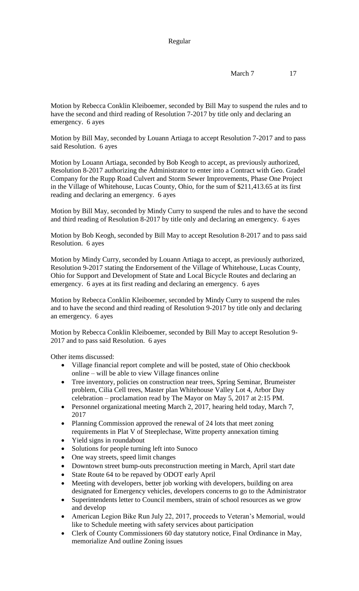## Regular

Motion by Rebecca Conklin Kleiboemer, seconded by Bill May to suspend the rules and to have the second and third reading of Resolution 7-2017 by title only and declaring an emergency. 6 ayes

Motion by Bill May, seconded by Louann Artiaga to accept Resolution 7-2017 and to pass said Resolution. 6 ayes

Motion by Louann Artiaga, seconded by Bob Keogh to accept, as previously authorized, Resolution 8-2017 authorizing the Administrator to enter into a Contract with Geo. Gradel Company for the Rupp Road Culvert and Storm Sewer Improvements, Phase One Project in the Village of Whitehouse, Lucas County, Ohio, for the sum of \$211,413.65 at its first reading and declaring an emergency. 6 ayes

Motion by Bill May, seconded by Mindy Curry to suspend the rules and to have the second and third reading of Resolution 8-2017 by title only and declaring an emergency. 6 ayes

Motion by Bob Keogh, seconded by Bill May to accept Resolution 8-2017 and to pass said Resolution. 6 ayes

Motion by Mindy Curry, seconded by Louann Artiaga to accept, as previously authorized, Resolution 9-2017 stating the Endorsement of the Village of Whitehouse, Lucas County, Ohio for Support and Development of State and Local Bicycle Routes and declaring an emergency. 6 ayes at its first reading and declaring an emergency. 6 ayes

Motion by Rebecca Conklin Kleiboemer, seconded by Mindy Curry to suspend the rules and to have the second and third reading of Resolution 9-2017 by title only and declaring an emergency. 6 ayes

Motion by Rebecca Conklin Kleiboemer, seconded by Bill May to accept Resolution 9- 2017 and to pass said Resolution. 6 ayes

Other items discussed:

- Village financial report complete and will be posted, state of Ohio checkbook online – will be able to view Village finances online
- Tree inventory, policies on construction near trees, Spring Seminar, Brumeister problem, Cilia Cell trees, Master plan Whitehouse Valley Lot 4, Arbor Day celebration – proclamation read by The Mayor on May 5, 2017 at 2:15 PM.
- Personnel organizational meeting March 2, 2017, hearing held today, March 7, 2017
- Planning Commission approved the renewal of 24 lots that meet zoning requirements in Plat V of Steeplechase, Witte property annexation timing
- Yield signs in roundabout
- Solutions for people turning left into Sunoco
- One way streets, speed limit changes
- Downtown street bump-outs preconstruction meeting in March, April start date
- State Route 64 to be repaved by ODOT early April
- Meeting with developers, better job working with developers, building on area designated for Emergency vehicles, developers concerns to go to the Administrator
- Superintendents letter to Council members, strain of school resources as we grow and develop
- American Legion Bike Run July 22, 2017, proceeds to Veteran's Memorial, would like to Schedule meeting with safety services about participation
- Clerk of County Commissioners 60 day statutory notice, Final Ordinance in May, memorialize And outline Zoning issues